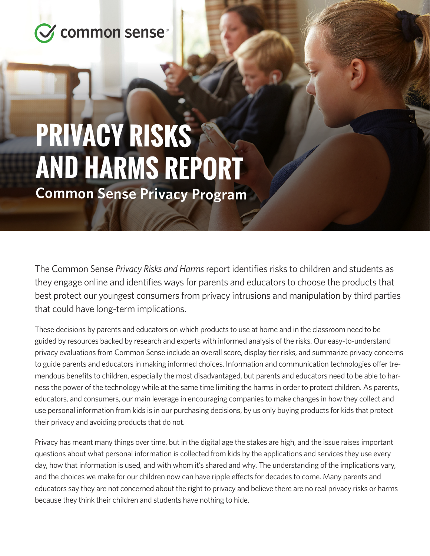

## **PRIVACY RISKS AND HARMS REPORT**

**Common Sense Privacy Program**

The Common Sense *Privacy Risks and Harms* report identifies risks to children and students as they engage online and identifies ways for parents and educators to choose the products that best protect our youngest consumers from privacy intrusions and manipulation by third parties that could have long-term implications.

These decisions by parents and educators on which products to use at home and in the classroom need to be guided by resources backed by research and experts with informed analysis of the risks. Our easy-to-understand privacy evaluations from Common Sense include an overall score, display tier risks, and summarize privacy concerns to guide parents and educators in making informed choices. Information and communication technologies offer tremendous benefits to children, especially the most disadvantaged, but parents and educators need to be able to harness the power of the technology while at the same time limiting the harms in order to protect children. As parents, educators, and consumers, our main leverage in encouraging companies to make changes in how they collect and use personal information from kids is in our purchasing decisions, by us only buying products for kids that protect their privacy and avoiding products that do not.

Privacy has meant many things over time, but in the digital age the stakes are high, and the issue raises important questions about what personal information is collected from kids by the applications and services they use every day, how that information is used, and with whom it's shared and why. The understanding of the implications vary, and the choices we make for our children now can have ripple effects for decades to come. Many parents and educators say they are not concerned about the right to privacy and believe there are no real privacy risks or harms because they think their children and students have nothing to hide.